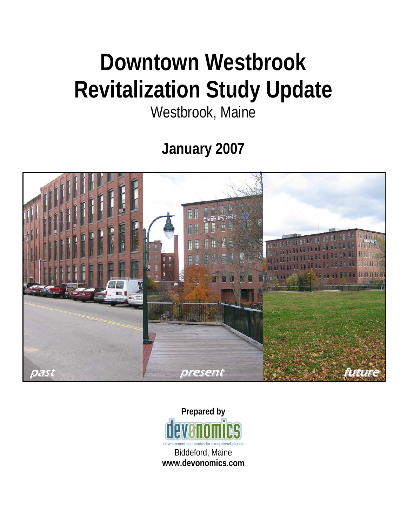# **Downtown Westbrook Revitalization Study Update**

## Westbrook, Maine

**January 2007** 



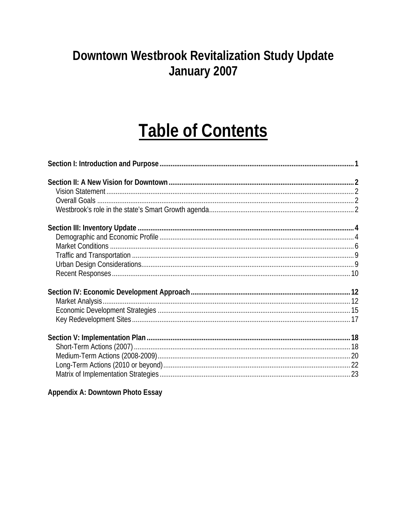## Downtown Westbrook Revitalization Study Update January 2007

## **Table of Contents**

#### Appendix A: Downtown Photo Essay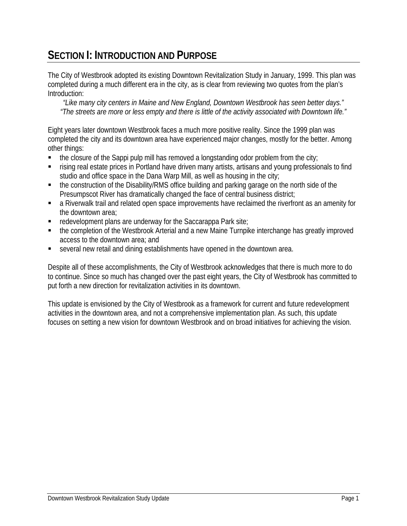### **SECTION I: INTRODUCTION AND PURPOSE**

The City of Westbrook adopted its existing Downtown Revitalization Study in January, 1999. This plan was completed during a much different era in the city, as is clear from reviewing two quotes from the plan's Introduction:

*"Like many city centers in Maine and New England, Downtown Westbrook has seen better days." "The streets are more or less empty and there is little of the activity associated with Downtown life."* 

Eight years later downtown Westbrook faces a much more positive reality. Since the 1999 plan was completed the city and its downtown area have experienced major changes, mostly for the better. Among other things:

- the closure of the Sappi pulp mill has removed a longstanding odor problem from the city;
- rising real estate prices in Portland have driven many artists, artisans and young professionals to find studio and office space in the Dana Warp Mill, as well as housing in the city;
- the construction of the Disability/RMS office building and parking garage on the north side of the Presumpscot River has dramatically changed the face of central business district;
- a Riverwalk trail and related open space improvements have reclaimed the riverfront as an amenity for the downtown area;
- redevelopment plans are underway for the Saccarappa Park site;
- the completion of the Westbrook Arterial and a new Maine Turnpike interchange has greatly improved access to the downtown area; and
- several new retail and dining establishments have opened in the downtown area.

Despite all of these accomplishments, the City of Westbrook acknowledges that there is much more to do to continue. Since so much has changed over the past eight years, the City of Westbrook has committed to put forth a new direction for revitalization activities in its downtown.

This update is envisioned by the City of Westbrook as a framework for current and future redevelopment activities in the downtown area, and not a comprehensive implementation plan. As such, this update focuses on setting a new vision for downtown Westbrook and on broad initiatives for achieving the vision.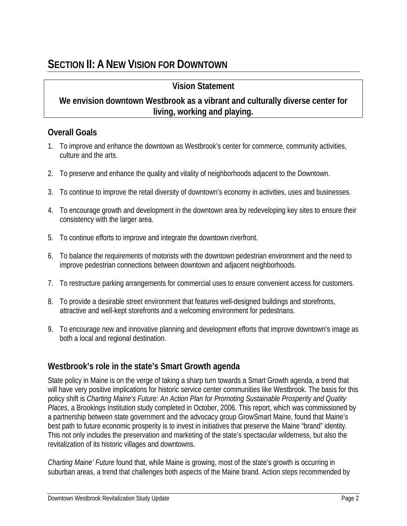#### **Vision Statement**

#### **We envision downtown Westbrook as a vibrant and culturally diverse center for living, working and playing.**

#### **Overall Goals**

- 1. To improve and enhance the downtown as Westbrook's center for commerce, community activities, culture and the arts.
- 2. To preserve and enhance the quality and vitality of neighborhoods adjacent to the Downtown.
- 3. To continue to improve the retail diversity of downtown's economy in activities, uses and businesses.
- 4. To encourage growth and development in the downtown area by redeveloping key sites to ensure their consistency with the larger area.
- 5. To continue efforts to improve and integrate the downtown riverfront.
- 6. To balance the requirements of motorists with the downtown pedestrian environment and the need to improve pedestrian connections between downtown and adjacent neighborhoods.
- 7. To restructure parking arrangements for commercial uses to ensure convenient access for customers.
- 8. To provide a desirable street environment that features well-designed buildings and storefronts, attractive and well-kept storefronts and a welcoming environment for pedestrians.
- 9. To encourage new and innovative planning and development efforts that improve downtown's image as both a local and regional destination.

#### **Westbrook's role in the state's Smart Growth agenda**

State policy in Maine is on the verge of taking a sharp turn towards a Smart Growth agenda, a trend that will have very positive implications for historic service center communities like Westbrook. The basis for this policy shift is *Charting Maine's Future: An Action Plan for Promoting Sustainable Prosperity and Quality Places*, a Brookings Institution study completed in October, 2006. This report, which was commissioned by a partnership between state government and the advocacy group GrowSmart Maine, found that Maine's best path to future economic prosperity is to invest in initiatives that preserve the Maine "brand" identity. This not only includes the preservation and marketing of the state's spectacular wilderness, but also the revitalization of its historic villages and downtowns.

*Charting Maine' Future* found that, while Maine is growing, most of the state's growth is occurring in suburban areas, a trend that challenges both aspects of the Maine brand. Action steps recommended by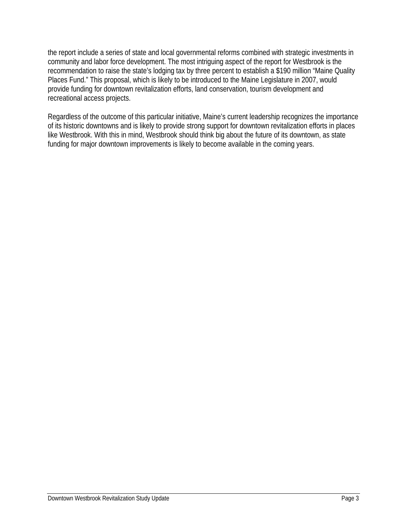the report include a series of state and local governmental reforms combined with strategic investments in community and labor force development. The most intriguing aspect of the report for Westbrook is the recommendation to raise the state's lodging tax by three percent to establish a \$190 million "Maine Quality Places Fund." This proposal, which is likely to be introduced to the Maine Legislature in 2007, would provide funding for downtown revitalization efforts, land conservation, tourism development and recreational access projects.

Regardless of the outcome of this particular initiative, Maine's current leadership recognizes the importance of its historic downtowns and is likely to provide strong support for downtown revitalization efforts in places like Westbrook. With this in mind, Westbrook should think big about the future of its downtown, as state funding for major downtown improvements is likely to become available in the coming years.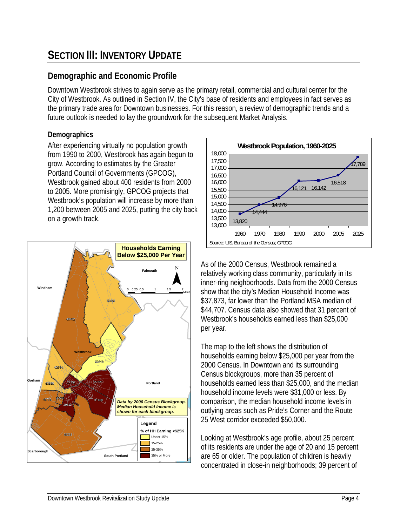## **SECTION III: INVENTORY UPDATE**

#### **Demographic and Economic Profile**

Downtown Westbrook strives to again serve as the primary retail, commercial and cultural center for the City of Westbrook. As outlined in Section IV, the City's base of residents and employees in fact serves as the primary trade area for Downtown businesses. For this reason, a review of demographic trends and a future outlook is needed to lay the groundwork for the subsequent Market Analysis.

#### **Demographics**

After experiencing virtually no population growth from 1990 to 2000, Westbrook has again begun to grow. According to estimates by the Greater Portland Council of Governments (GPCOG), Westbrook gained about 400 residents from 2000 to 2005. More promisingly, GPCOG projects that Westbrook's population will increase by more than 1,200 between 2005 and 2025, putting the city back on a growth track.





As of the 2000 Census, Westbrook remained a relatively working class community, particularly in its inner-ring neighborhoods. Data from the 2000 Census show that the city's Median Household Income was \$37,873, far lower than the Portland MSA median of \$44,707. Census data also showed that 31 percent of Westbrook's households earned less than \$25,000 per year.

The map to the left shows the distribution of households earning below \$25,000 per year from the 2000 Census. In Downtown and its surrounding Census blockgroups, more than 35 percent of households earned less than \$25,000, and the median household income levels were \$31,000 or less. By comparison, the median household income levels in outlying areas such as Pride's Corner and the Route 25 West corridor exceeded \$50,000.

Looking at Westbrook's age profile, about 25 percent of its residents are under the age of 20 and 15 percent are 65 or older. The population of children is heavily concentrated in close-in neighborhoods; 39 percent of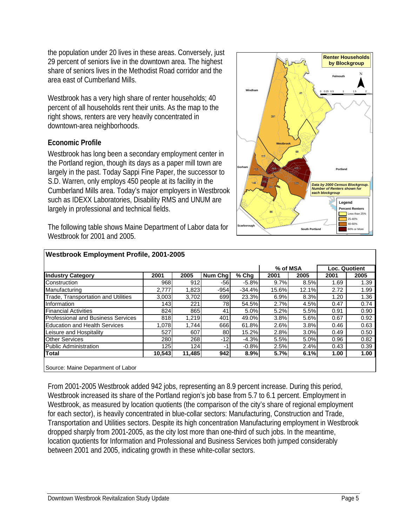the population under 20 lives in these areas. Conversely, just 29 percent of seniors live in the downtown area. The highest share of seniors lives in the Methodist Road corridor and the area east of Cumberland Mills.

Westbrook has a very high share of renter households; 40 percent of all households rent their units. As the map to the right shows, renters are very heavily concentrated in downtown-area neighborhoods.

#### **Economic Profile**

Westbrook has long been a secondary employment center in the Portland region, though its days as a paper mill town are largely in the past. Today Sappi Fine Paper, the successor to S.D. Warren, only employs 450 people at its facility in the Cumberland Mills area. Today's major employers in Westbrook such as IDEXX Laboratories, Disability RMS and UNUM are largely in professional and technical fields.

The following table shows Maine Department of Labor data for Westbrook for 2001 and 2005.



|                                            |        |        |                |          | % of MSA |       | Loc. Quotient |      |
|--------------------------------------------|--------|--------|----------------|----------|----------|-------|---------------|------|
| <b>Industry Category</b>                   | 2001   | 2005   | Num Chg        | $%$ Chg  | 2001     | 2005  | 2001          | 2005 |
| Construction                               | 968    | 912    | $-56$          | $-5.8%$  | 9.7%     | 8.5%  | 1.69          | 1.39 |
| Manufacturing                              | 2,777  | 1,823  | $-954$         | $-34.4%$ | 15.6%    | 12.1% | 2.72          | 1.99 |
| <b>Trade, Transportation and Utilities</b> | 3,003  | 3,702  | 699            | 23.3%    | 6.9%     | 8.3%  | 1.20          | 1.36 |
| Information                                | 143    | 221    | 78             | 54.5%    | 2.7%     | 4.5%  | 0.47          | 0.74 |
| <b>Financial Activities</b>                | 824    | 865    | 41             | 5.0%     | 5.2%     | 5.5%  | 0.91          | 0.90 |
| <b>Professional and Business Services</b>  | 818    | 1,219  | 401            | 49.0%    | 3.8%     | 5.6%  | 0.67          | 0.92 |
| <b>Education and Health Services</b>       | 1.078  | 1.744  | 666            | 61.8%    | 2.6%     | 3.8%  | 0.46          | 0.63 |
| Leisure and Hospitality                    | 527    | 607    | 80             | 15.2%    | 2.8%     | 3.0%  | 0.49          | 0.50 |
| <b>Other Services</b>                      | 280    | 268    | $-12$          | $-4.3%$  | 5.5%     | 5.0%  | 0.96          | 0.82 |
| <b>Public Administration</b>               | 125    | 124    | $\blacksquare$ | $-0.8%$  | 2.5%     | 2.4%  | 0.43          | 0.39 |
| <b>Total</b>                               | 10,543 | 11,485 | 942            | 8.9%     | 5.7%     | 6.1%  | 1.00          | 1.00 |

From 2001-2005 Westbrook added 942 jobs, representing an 8.9 percent increase. During this period, Westbrook increased its share of the Portland region's job base from 5.7 to 6.1 percent. Employment in Westbrook, as measured by location quotients (the comparison of the city's share of regional employment for each sector), is heavily concentrated in blue-collar sectors: Manufacturing, Construction and Trade, Transportation and Utilities sectors. Despite its high concentration Manufacturing employment in Westbrook dropped sharply from 2001-2005, as the city lost more than one-third of such jobs. In the meantime, location quotients for Information and Professional and Business Services both jumped considerably between 2001 and 2005, indicating growth in these white-collar sectors.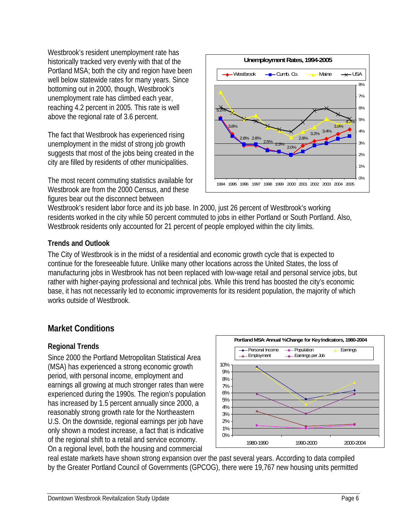Westbrook's resident unemployment rate has historically tracked very evenly with that of the Portland MSA; both the city and region have been well below statewide rates for many years. Since bottoming out in 2000, though, Westbrook's unemployment rate has climbed each year, reaching 4.2 percent in 2005. This rate is well above the regional rate of 3.6 percent.

The fact that Westbrook has experienced rising unemployment in the midst of strong job growth suggests that most of the jobs being created in the city are filled by residents of other municipalities.

The most recent commuting statistics available for Westbrook are from the 2000 Census, and these figures bear out the disconnect between



Westbrook's resident labor force and its job base. In 2000, just 26 percent of Westbrook's working residents worked in the city while 50 percent commuted to jobs in either Portland or South Portland. Also, Westbrook residents only accounted for 21 percent of people employed within the city limits.

#### **Trends and Outlook**

The City of Westbrook is in the midst of a residential and economic growth cycle that is expected to continue for the foreseeable future. Unlike many other locations across the United States, the loss of manufacturing jobs in Westbrook has not been replaced with low-wage retail and personal service jobs, but rather with higher-paying professional and technical jobs. While this trend has boosted the city's economic base, it has not necessarily led to economic improvements for its resident population, the majority of which works outside of Westbrook.

#### **Market Conditions**

#### **Regional Trends**

Since 2000 the Portland Metropolitan Statistical Area (MSA) has experienced a strong economic growth period, with personal income, employment and earnings all growing at much stronger rates than were experienced during the 1990s. The region's population has increased by 1.5 percent annually since 2000, a reasonably strong growth rate for the Northeastern U.S. On the downside, regional earnings per job have only shown a modest increase, a fact that is indicative of the regional shift to a retail and service economy. On a regional level, both the housing and commercial



real estate markets have shown strong expansion over the past several years. According to data compiled by the Greater Portland Council of Governments (GPCOG), there were 19,767 new housing units permitted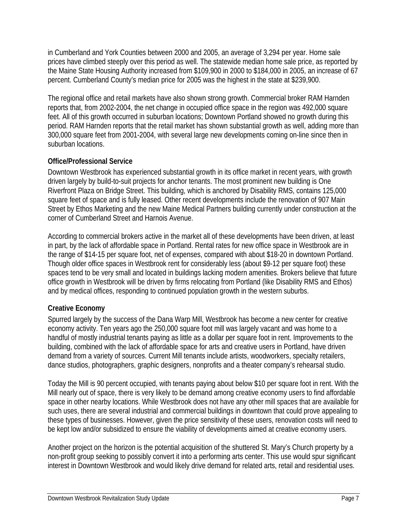in Cumberland and York Counties between 2000 and 2005, an average of 3,294 per year. Home sale prices have climbed steeply over this period as well. The statewide median home sale price, as reported by the Maine State Housing Authority increased from \$109,900 in 2000 to \$184,000 in 2005, an increase of 67 percent. Cumberland County's median price for 2005 was the highest in the state at \$239,900.

The regional office and retail markets have also shown strong growth. Commercial broker RAM Harnden reports that, from 2002-2004, the net change in occupied office space in the region was 492,000 square feet. All of this growth occurred in suburban locations; Downtown Portland showed no growth during this period. RAM Harnden reports that the retail market has shown substantial growth as well, adding more than 300,000 square feet from 2001-2004, with several large new developments coming on-line since then in suburban locations.

#### **Office/Professional Service**

Downtown Westbrook has experienced substantial growth in its office market in recent years, with growth driven largely by build-to-suit projects for anchor tenants. The most prominent new building is One Riverfront Plaza on Bridge Street. This building, which is anchored by Disability RMS, contains 125,000 square feet of space and is fully leased. Other recent developments include the renovation of 907 Main Street by Ethos Marketing and the new Maine Medical Partners building currently under construction at the corner of Cumberland Street and Harnois Avenue.

According to commercial brokers active in the market all of these developments have been driven, at least in part, by the lack of affordable space in Portland. Rental rates for new office space in Westbrook are in the range of \$14-15 per square foot, net of expenses, compared with about \$18-20 in downtown Portland. Though older office spaces in Westbrook rent for considerably less (about \$9-12 per square foot) these spaces tend to be very small and located in buildings lacking modern amenities. Brokers believe that future office growth in Westbrook will be driven by firms relocating from Portland (like Disability RMS and Ethos) and by medical offices, responding to continued population growth in the western suburbs.

#### **Creative Economy**

Spurred largely by the success of the Dana Warp Mill, Westbrook has become a new center for creative economy activity. Ten years ago the 250,000 square foot mill was largely vacant and was home to a handful of mostly industrial tenants paying as little as a dollar per square foot in rent. Improvements to the building, combined with the lack of affordable space for arts and creative users in Portland, have driven demand from a variety of sources. Current Mill tenants include artists, woodworkers, specialty retailers, dance studios, photographers, graphic designers, nonprofits and a theater company's rehearsal studio.

Today the Mill is 90 percent occupied, with tenants paying about below \$10 per square foot in rent. With the Mill nearly out of space, there is very likely to be demand among creative economy users to find affordable space in other nearby locations. While Westbrook does not have any other mill spaces that are available for such uses, there are several industrial and commercial buildings in downtown that could prove appealing to these types of businesses. However, given the price sensitivity of these users, renovation costs will need to be kept low and/or subsidized to ensure the viability of developments aimed at creative economy users.

Another project on the horizon is the potential acquisition of the shuttered St. Mary's Church property by a non-profit group seeking to possibly convert it into a performing arts center. This use would spur significant interest in Downtown Westbrook and would likely drive demand for related arts, retail and residential uses.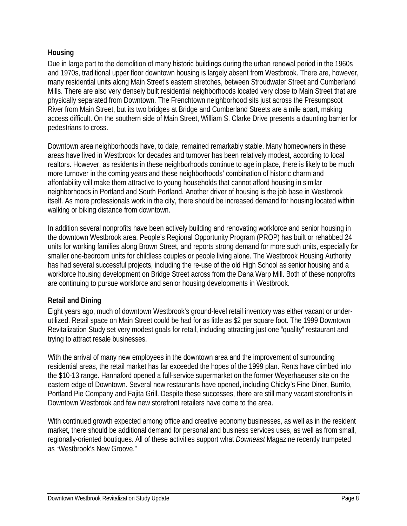#### **Housing**

Due in large part to the demolition of many historic buildings during the urban renewal period in the 1960s and 1970s, traditional upper floor downtown housing is largely absent from Westbrook. There are, however, many residential units along Main Street's eastern stretches, between Stroudwater Street and Cumberland Mills. There are also very densely built residential neighborhoods located very close to Main Street that are physically separated from Downtown. The Frenchtown neighborhood sits just across the Presumpscot River from Main Street, but its two bridges at Bridge and Cumberland Streets are a mile apart, making access difficult. On the southern side of Main Street, William S. Clarke Drive presents a daunting barrier for pedestrians to cross.

Downtown area neighborhoods have, to date, remained remarkably stable. Many homeowners in these areas have lived in Westbrook for decades and turnover has been relatively modest, according to local realtors. However, as residents in these neighborhoods continue to age in place, there is likely to be much more turnover in the coming years and these neighborhoods' combination of historic charm and affordability will make them attractive to young households that cannot afford housing in similar neighborhoods in Portland and South Portland. Another driver of housing is the job base in Westbrook itself. As more professionals work in the city, there should be increased demand for housing located within walking or biking distance from downtown.

In addition several nonprofits have been actively building and renovating workforce and senior housing in the downtown Westbrook area. People's Regional Opportunity Program (PROP) has built or rehabbed 24 units for working families along Brown Street, and reports strong demand for more such units, especially for smaller one-bedroom units for childless couples or people living alone. The Westbrook Housing Authority has had several successful projects, including the re-use of the old High School as senior housing and a workforce housing development on Bridge Street across from the Dana Warp Mill. Both of these nonprofits are continuing to pursue workforce and senior housing developments in Westbrook.

#### **Retail and Dining**

Eight years ago, much of downtown Westbrook's ground-level retail inventory was either vacant or underutilized. Retail space on Main Street could be had for as little as \$2 per square foot. The 1999 Downtown Revitalization Study set very modest goals for retail, including attracting just one "quality" restaurant and trying to attract resale businesses.

With the arrival of many new employees in the downtown area and the improvement of surrounding residential areas, the retail market has far exceeded the hopes of the 1999 plan. Rents have climbed into the \$10-13 range. Hannaford opened a full-service supermarket on the former Weyerhaeuser site on the eastern edge of Downtown. Several new restaurants have opened, including Chicky's Fine Diner, Burrito, Portland Pie Company and Fajita Grill. Despite these successes, there are still many vacant storefronts in Downtown Westbrook and few new storefront retailers have come to the area.

With continued growth expected among office and creative economy businesses, as well as in the resident market, there should be additional demand for personal and business services uses, as well as from small, regionally-oriented boutiques. All of these activities support what *Downeast* Magazine recently trumpeted as "Westbrook's New Groove."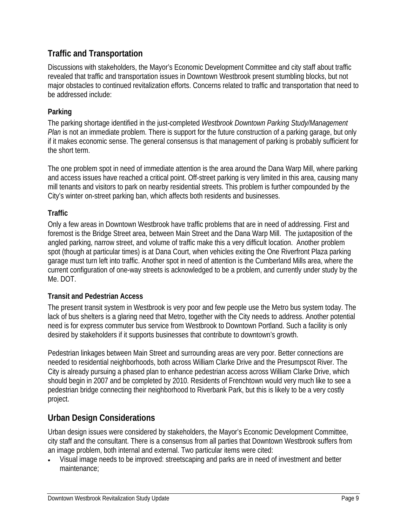#### **Traffic and Transportation**

Discussions with stakeholders, the Mayor's Economic Development Committee and city staff about traffic revealed that traffic and transportation issues in Downtown Westbrook present stumbling blocks, but not major obstacles to continued revitalization efforts. Concerns related to traffic and transportation that need to be addressed include:

#### **Parking**

The parking shortage identified in the just-completed *Westbrook Downtown Parking Study/Management Plan* is not an immediate problem. There is support for the future construction of a parking garage, but only if it makes economic sense. The general consensus is that management of parking is probably sufficient for the short term.

The one problem spot in need of immediate attention is the area around the Dana Warp Mill, where parking and access issues have reached a critical point. Off-street parking is very limited in this area, causing many mill tenants and visitors to park on nearby residential streets. This problem is further compounded by the City's winter on-street parking ban, which affects both residents and businesses.

#### **Traffic**

Only a few areas in Downtown Westbrook have traffic problems that are in need of addressing. First and foremost is the Bridge Street area, between Main Street and the Dana Warp Mill. The juxtaposition of the angled parking, narrow street, and volume of traffic make this a very difficult location. Another problem spot (though at particular times) is at Dana Court, when vehicles exiting the One Riverfront Plaza parking garage must turn left into traffic. Another spot in need of attention is the Cumberland Mills area, where the current configuration of one-way streets is acknowledged to be a problem, and currently under study by the Me. DOT.

#### **Transit and Pedestrian Access**

The present transit system in Westbrook is very poor and few people use the Metro bus system today. The lack of bus shelters is a glaring need that Metro, together with the City needs to address. Another potential need is for express commuter bus service from Westbrook to Downtown Portland. Such a facility is only desired by stakeholders if it supports businesses that contribute to downtown's growth.

Pedestrian linkages between Main Street and surrounding areas are very poor. Better connections are needed to residential neighborhoods, both across William Clarke Drive and the Presumpscot River. The City is already pursuing a phased plan to enhance pedestrian access across William Clarke Drive, which should begin in 2007 and be completed by 2010. Residents of Frenchtown would very much like to see a pedestrian bridge connecting their neighborhood to Riverbank Park, but this is likely to be a very costly project.

#### **Urban Design Considerations**

Urban design issues were considered by stakeholders, the Mayor's Economic Development Committee, city staff and the consultant. There is a consensus from all parties that Downtown Westbrook suffers from an image problem, both internal and external. Two particular items were cited:

• Visual image needs to be improved: streetscaping and parks are in need of investment and better maintenance;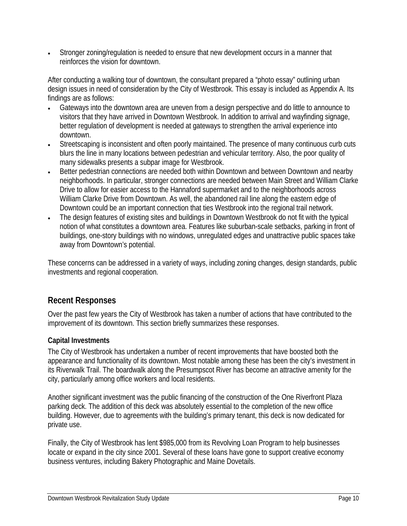• Stronger zoning/regulation is needed to ensure that new development occurs in a manner that reinforces the vision for downtown.

After conducting a walking tour of downtown, the consultant prepared a "photo essay" outlining urban design issues in need of consideration by the City of Westbrook. This essay is included as Appendix A. Its findings are as follows:

- Gateways into the downtown area are uneven from a design perspective and do little to announce to visitors that they have arrived in Downtown Westbrook. In addition to arrival and wayfinding signage, better regulation of development is needed at gateways to strengthen the arrival experience into downtown.
- Streetscaping is inconsistent and often poorly maintained. The presence of many continuous curb cuts blurs the line in many locations between pedestrian and vehicular territory. Also, the poor quality of many sidewalks presents a subpar image for Westbrook.
- Better pedestrian connections are needed both within Downtown and between Downtown and nearby neighborhoods. In particular, stronger connections are needed between Main Street and William Clarke Drive to allow for easier access to the Hannaford supermarket and to the neighborhoods across William Clarke Drive from Downtown. As well, the abandoned rail line along the eastern edge of Downtown could be an important connection that ties Westbrook into the regional trail network.
- The design features of existing sites and buildings in Downtown Westbrook do not fit with the typical notion of what constitutes a downtown area. Features like suburban-scale setbacks, parking in front of buildings, one-story buildings with no windows, unregulated edges and unattractive public spaces take away from Downtown's potential.

These concerns can be addressed in a variety of ways, including zoning changes, design standards, public investments and regional cooperation.

#### **Recent Responses**

Over the past few years the City of Westbrook has taken a number of actions that have contributed to the improvement of its downtown. This section briefly summarizes these responses.

#### **Capital Investments**

The City of Westbrook has undertaken a number of recent improvements that have boosted both the appearance and functionality of its downtown. Most notable among these has been the city's investment in its Riverwalk Trail. The boardwalk along the Presumpscot River has become an attractive amenity for the city, particularly among office workers and local residents.

Another significant investment was the public financing of the construction of the One Riverfront Plaza parking deck. The addition of this deck was absolutely essential to the completion of the new office building. However, due to agreements with the building's primary tenant, this deck is now dedicated for private use.

Finally, the City of Westbrook has lent \$985,000 from its Revolving Loan Program to help businesses locate or expand in the city since 2001. Several of these loans have gone to support creative economy business ventures, including Bakery Photographic and Maine Dovetails.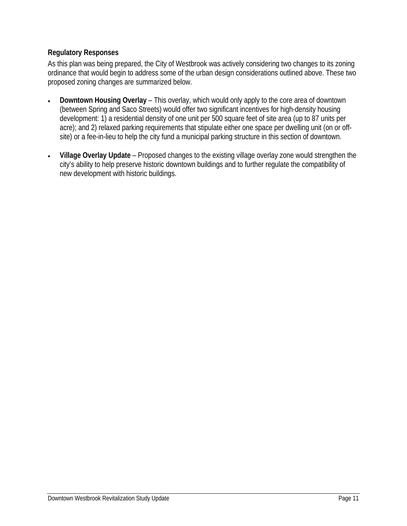#### **Regulatory Responses**

As this plan was being prepared, the City of Westbrook was actively considering two changes to its zoning ordinance that would begin to address some of the urban design considerations outlined above. These two proposed zoning changes are summarized below.

- **Downtown Housing Overlay** This overlay, which would only apply to the core area of downtown (between Spring and Saco Streets) would offer two significant incentives for high-density housing development: 1) a residential density of one unit per 500 square feet of site area (up to 87 units per acre); and 2) relaxed parking requirements that stipulate either one space per dwelling unit (on or offsite) or a fee-in-lieu to help the city fund a municipal parking structure in this section of downtown.
- **Village Overlay Update** Proposed changes to the existing village overlay zone would strengthen the city's ability to help preserve historic downtown buildings and to further regulate the compatibility of new development with historic buildings.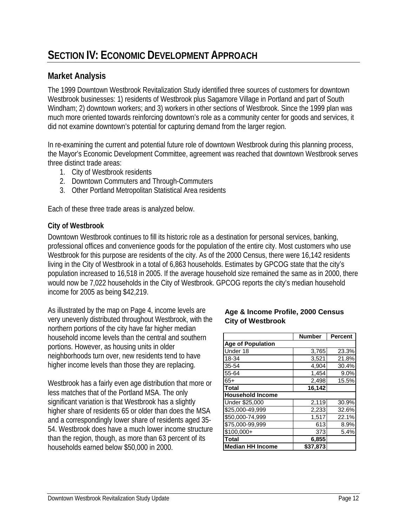## **SECTION IV: ECONOMIC DEVELOPMENT APPROACH**

#### **Market Analysis**

The 1999 Downtown Westbrook Revitalization Study identified three sources of customers for downtown Westbrook businesses: 1) residents of Westbrook plus Sagamore Village in Portland and part of South Windham; 2) downtown workers; and 3) workers in other sections of Westbrook. Since the 1999 plan was much more oriented towards reinforcing downtown's role as a community center for goods and services, it did not examine downtown's potential for capturing demand from the larger region.

In re-examining the current and potential future role of downtown Westbrook during this planning process, the Mayor's Economic Development Committee, agreement was reached that downtown Westbrook serves three distinct trade areas:

- 1. City of Westbrook residents
- 2. Downtown Commuters and Through-Commuters
- 3. Other Portland Metropolitan Statistical Area residents

Each of these three trade areas is analyzed below.

#### **City of Westbrook**

Downtown Westbrook continues to fill its historic role as a destination for personal services, banking, professional offices and convenience goods for the population of the entire city. Most customers who use Westbrook for this purpose are residents of the city. As of the 2000 Census, there were 16,142 residents living in the City of Westbrook in a total of 6,863 households. Estimates by GPCOG state that the city's population increased to 16,518 in 2005. If the average household size remained the same as in 2000, there would now be 7,022 households in the City of Westbrook. GPCOG reports the city's median household income for 2005 as being \$42,219.

As illustrated by the map on Page 4, income levels are very unevenly distributed throughout Westbrook, with the northern portions of the city have far higher median household income levels than the central and southern portions. However, as housing units in older neighborhoods turn over, new residents tend to have higher income levels than those they are replacing.

Westbrook has a fairly even age distribution that more or less matches that of the Portland MSA. The only significant variation is that Westbrook has a slightly higher share of residents 65 or older than does the MSA and a correspondingly lower share of residents aged 35- 54. Westbrook does have a much lower income structure than the region, though, as more than 63 percent of its households earned below \$50,000 in 2000.

#### **Age & Income Profile, 2000 Census City of Westbrook**

|                              | <b>Number</b> | <b>Percent</b> |
|------------------------------|---------------|----------------|
| <b>Age of Population</b>     |               |                |
| Under 18                     | 3,765         | 23.3%          |
| 18-34                        | 3,521         | 21.8%          |
| 35-54                        | 4,904         | 30.4%          |
| 55-64                        | 1,454         | 9.0%           |
| $65+$                        | 2,498         | 15.5%          |
| <b>Total</b>                 | 16,142        |                |
| <b>Household Income</b>      |               |                |
| Under \$25,000               | 2,119         | 30.9%          |
| \$25,000-49,999              | 2,233         | 32.6%          |
| \$50,000-74,999              | 1,517         | 22.1%          |
| $\overline{375,000}$ -99,999 | 613           | 8.9%           |
| \$100,000+                   | 373           | 5.4%           |
| <b>Total</b>                 | 6,855         |                |
| <b>Median HH Income</b>      | \$37.873      |                |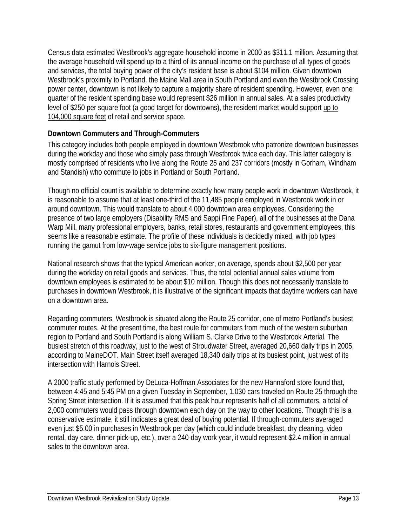Census data estimated Westbrook's aggregate household income in 2000 as \$311.1 million. Assuming that the average household will spend up to a third of its annual income on the purchase of all types of goods and services, the total buying power of the city's resident base is about \$104 million. Given downtown Westbrook's proximity to Portland, the Maine Mall area in South Portland and even the Westbrook Crossing power center, downtown is not likely to capture a majority share of resident spending. However, even one quarter of the resident spending base would represent \$26 million in annual sales. At a sales productivity level of \$250 per square foot (a good target for downtowns), the resident market would support up to 104,000 square feet of retail and service space.

#### **Downtown Commuters and Through-Commuters**

This category includes both people employed in downtown Westbrook who patronize downtown businesses during the workday and those who simply pass through Westbrook twice each day. This latter category is mostly comprised of residents who live along the Route 25 and 237 corridors (mostly in Gorham, Windham and Standish) who commute to jobs in Portland or South Portland.

Though no official count is available to determine exactly how many people work in downtown Westbrook, it is reasonable to assume that at least one-third of the 11,485 people employed in Westbrook work in or around downtown. This would translate to about 4,000 downtown area employees. Considering the presence of two large employers (Disability RMS and Sappi Fine Paper), all of the businesses at the Dana Warp Mill, many professional employers, banks, retail stores, restaurants and government employees, this seems like a reasonable estimate. The profile of these individuals is decidedly mixed, with job types running the gamut from low-wage service jobs to six-figure management positions.

National research shows that the typical American worker, on average, spends about \$2,500 per year during the workday on retail goods and services. Thus, the total potential annual sales volume from downtown employees is estimated to be about \$10 million. Though this does not necessarily translate to purchases in downtown Westbrook, it is illustrative of the significant impacts that daytime workers can have on a downtown area.

Regarding commuters, Westbrook is situated along the Route 25 corridor, one of metro Portland's busiest commuter routes. At the present time, the best route for commuters from much of the western suburban region to Portland and South Portland is along William S. Clarke Drive to the Westbrook Arterial. The busiest stretch of this roadway, just to the west of Stroudwater Street, averaged 20,660 daily trips in 2005, according to MaineDOT. Main Street itself averaged 18,340 daily trips at its busiest point, just west of its intersection with Harnois Street.

A 2000 traffic study performed by DeLuca-Hoffman Associates for the new Hannaford store found that, between 4:45 and 5:45 PM on a given Tuesday in September, 1,030 cars traveled on Route 25 through the Spring Street intersection. If it is assumed that this peak hour represents half of all commuters, a total of 2,000 commuters would pass through downtown each day on the way to other locations. Though this is a conservative estimate, it still indicates a great deal of buying potential. If through-commuters averaged even just \$5.00 in purchases in Westbrook per day (which could include breakfast, dry cleaning, video rental, day care, dinner pick-up, etc.), over a 240-day work year, it would represent \$2.4 million in annual sales to the downtown area.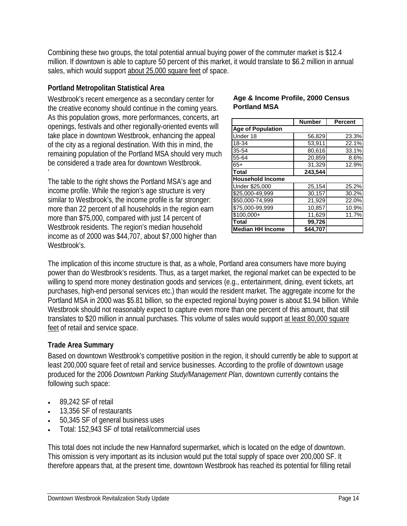Combining these two groups, the total potential annual buying power of the commuter market is \$12.4 million. If downtown is able to capture 50 percent of this market, it would translate to \$6.2 million in annual sales, which would support about 25,000 square feet of space.

#### **Portland Metropolitan Statistical Area**

Westbrook's recent emergence as a secondary center for the creative economy should continue in the coming years. As this population grows, more performances, concerts, art openings, festivals and other regionally-oriented events will take place in downtown Westbrook, enhancing the appeal of the city as a regional destination. With this in mind, the remaining population of the Portland MSA should very much be considered a trade area for downtown Westbrook. '

The table to the right shows the Portland MSA's age and income profile. While the region's age structure is very similar to Westbrook's, the income profile is far stronger: more than 22 percent of all households in the region earn more than \$75,000, compared with just 14 percent of Westbrook residents. The region's median household income as of 2000 was \$44,707, about \$7,000 higher than Westbrook's.

#### **Age & Income Profile, 2000 Census Portland MSA**

|                          | <b>Number</b>    | <b>Percent</b> |
|--------------------------|------------------|----------------|
| <b>Age of Population</b> |                  |                |
| Under 18                 | 56,829           | 23.3%          |
| 18-34                    | 53,911           | 22.1%          |
| 35-54                    | 80,616           | 33.1%          |
| 55-64                    | 20,859           | 8.6%           |
| $65+$                    | 31,329           | 12.9%          |
| <b>Total</b>             | 243,544          |                |
| <b>Household Income</b>  |                  |                |
| Under \$25,000           | 25,154           | 25.2%          |
| \$25,000-49,999          | 30,157           | 30.2%          |
| \$50,000-74,999          | 21,929           | 22.0%          |
| \$75,000-99,999          | 10,857           | 10.9%          |
| $$100,000+$              | 11,629           | 11.7%          |
| <b>Total</b>             | 99,726           |                |
| <b>Median HH Income</b>  | $\sqrt{344,707}$ |                |

The implication of this income structure is that, as a whole, Portland area consumers have more buying power than do Westbrook's residents. Thus, as a target market, the regional market can be expected to be willing to spend more money destination goods and services (e.g., entertainment, dining, event tickets, art purchases, high-end personal services etc.) than would the resident market. The aggregate income for the Portland MSA in 2000 was \$5.81 billion, so the expected regional buying power is about \$1.94 billion. While Westbrook should not reasonably expect to capture even more than one percent of this amount, that still translates to \$20 million in annual purchases. This volume of sales would support at least 80,000 square feet of retail and service space.

#### **Trade Area Summary**

Based on downtown Westbrook's competitive position in the region, it should currently be able to support at least 200,000 square feet of retail and service businesses. According to the profile of downtown usage produced for the 2006 *Downtown Parking Study/Management Plan*, downtown currently contains the following such space:

- 89,242 SF of retail
- 13,356 SF of restaurants
- 50,345 SF of general business uses
- Total: 152,943 SF of total retail/commercial uses

This total does not include the new Hannaford supermarket, which is located on the edge of downtown. This omission is very important as its inclusion would put the total supply of space over 200,000 SF. It therefore appears that, at the present time, downtown Westbrook has reached its potential for filling retail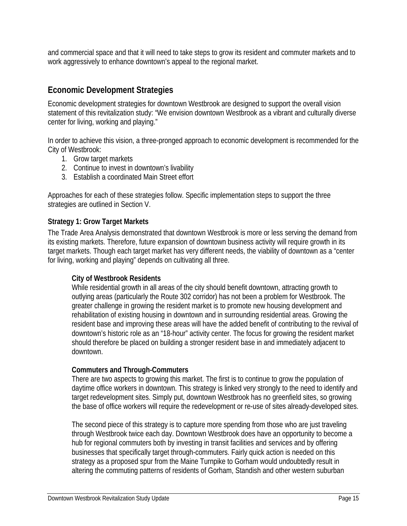and commercial space and that it will need to take steps to grow its resident and commuter markets and to work aggressively to enhance downtown's appeal to the regional market.

#### **Economic Development Strategies**

Economic development strategies for downtown Westbrook are designed to support the overall vision statement of this revitalization study: "We envision downtown Westbrook as a vibrant and culturally diverse center for living, working and playing."

In order to achieve this vision, a three-pronged approach to economic development is recommended for the City of Westbrook:

- 1. Grow target markets
- 2. Continue to invest in downtown's livability
- 3. Establish a coordinated Main Street effort

Approaches for each of these strategies follow. Specific implementation steps to support the three strategies are outlined in Section V.

#### **Strategy 1: Grow Target Markets**

The Trade Area Analysis demonstrated that downtown Westbrook is more or less serving the demand from its existing markets. Therefore, future expansion of downtown business activity will require growth in its target markets. Though each target market has very different needs, the viability of downtown as a "center for living, working and playing" depends on cultivating all three.

#### **City of Westbrook Residents**

While residential growth in all areas of the city should benefit downtown, attracting growth to outlying areas (particularly the Route 302 corridor) has not been a problem for Westbrook. The greater challenge in growing the resident market is to promote new housing development and rehabilitation of existing housing in downtown and in surrounding residential areas. Growing the resident base and improving these areas will have the added benefit of contributing to the revival of downtown's historic role as an "18-hour" activity center. The focus for growing the resident market should therefore be placed on building a stronger resident base in and immediately adjacent to downtown.

#### **Commuters and Through-Commuters**

There are two aspects to growing this market. The first is to continue to grow the population of daytime office workers in downtown. This strategy is linked very strongly to the need to identify and target redevelopment sites. Simply put, downtown Westbrook has no greenfield sites, so growing the base of office workers will require the redevelopment or re-use of sites already-developed sites.

The second piece of this strategy is to capture more spending from those who are just traveling through Westbrook twice each day. Downtown Westbrook does have an opportunity to become a hub for regional commuters both by investing in transit facilities and services and by offering businesses that specifically target through-commuters. Fairly quick action is needed on this strategy as a proposed spur from the Maine Turnpike to Gorham would undoubtedly result in altering the commuting patterns of residents of Gorham, Standish and other western suburban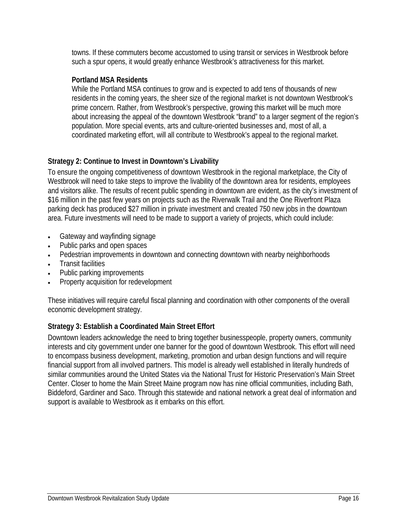towns. If these commuters become accustomed to using transit or services in Westbrook before such a spur opens, it would greatly enhance Westbrook's attractiveness for this market.

#### **Portland MSA Residents**

While the Portland MSA continues to grow and is expected to add tens of thousands of new residents in the coming years, the sheer size of the regional market is not downtown Westbrook's prime concern. Rather, from Westbrook's perspective, growing this market will be much more about increasing the appeal of the downtown Westbrook "brand" to a larger segment of the region's population. More special events, arts and culture-oriented businesses and, most of all, a coordinated marketing effort, will all contribute to Westbrook's appeal to the regional market.

#### **Strategy 2: Continue to Invest in Downtown's Livability**

To ensure the ongoing competitiveness of downtown Westbrook in the regional marketplace, the City of Westbrook will need to take steps to improve the livability of the downtown area for residents, employees and visitors alike. The results of recent public spending in downtown are evident, as the city's investment of \$16 million in the past few years on projects such as the Riverwalk Trail and the One Riverfront Plaza parking deck has produced \$27 million in private investment and created 750 new jobs in the downtown area. Future investments will need to be made to support a variety of projects, which could include:

- Gateway and wayfinding signage
- Public parks and open spaces
- Pedestrian improvements in downtown and connecting downtown with nearby neighborhoods
- Transit facilities
- Public parking improvements
- Property acquisition for redevelopment

These initiatives will require careful fiscal planning and coordination with other components of the overall economic development strategy.

#### **Strategy 3: Establish a Coordinated Main Street Effort**

Downtown leaders acknowledge the need to bring together businesspeople, property owners, community interests and city government under one banner for the good of downtown Westbrook. This effort will need to encompass business development, marketing, promotion and urban design functions and will require financial support from all involved partners. This model is already well established in literally hundreds of similar communities around the United States via the National Trust for Historic Preservation's Main Street Center. Closer to home the Main Street Maine program now has nine official communities, including Bath, Biddeford, Gardiner and Saco. Through this statewide and national network a great deal of information and support is available to Westbrook as it embarks on this effort.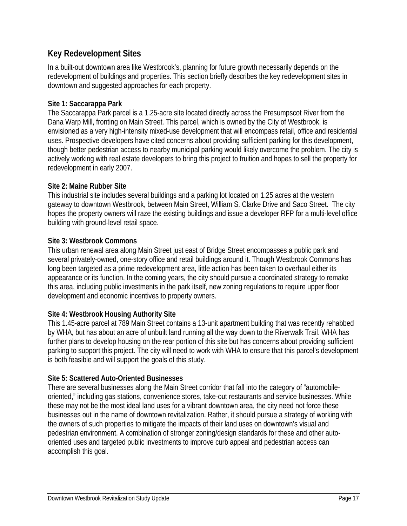#### **Key Redevelopment Sites**

In a built-out downtown area like Westbrook's, planning for future growth necessarily depends on the redevelopment of buildings and properties. This section briefly describes the key redevelopment sites in downtown and suggested approaches for each property.

#### **Site 1: Saccarappa Park**

The Saccarappa Park parcel is a 1.25-acre site located directly across the Presumpscot River from the Dana Warp Mill, fronting on Main Street. This parcel, which is owned by the City of Westbrook, is envisioned as a very high-intensity mixed-use development that will encompass retail, office and residential uses. Prospective developers have cited concerns about providing sufficient parking for this development, though better pedestrian access to nearby municipal parking would likely overcome the problem. The city is actively working with real estate developers to bring this project to fruition and hopes to sell the property for redevelopment in early 2007.

#### **Site 2: Maine Rubber Site**

This industrial site includes several buildings and a parking lot located on 1.25 acres at the western gateway to downtown Westbrook, between Main Street, William S. Clarke Drive and Saco Street. The city hopes the property owners will raze the existing buildings and issue a developer RFP for a multi-level office building with ground-level retail space.

#### **Site 3: Westbrook Commons**

This urban renewal area along Main Street just east of Bridge Street encompasses a public park and several privately-owned, one-story office and retail buildings around it. Though Westbrook Commons has long been targeted as a prime redevelopment area, little action has been taken to overhaul either its appearance or its function. In the coming years, the city should pursue a coordinated strategy to remake this area, including public investments in the park itself, new zoning regulations to require upper floor development and economic incentives to property owners.

#### **Site 4: Westbrook Housing Authority Site**

This 1.45-acre parcel at 789 Main Street contains a 13-unit apartment building that was recently rehabbed by WHA, but has about an acre of unbuilt land running all the way down to the Riverwalk Trail. WHA has further plans to develop housing on the rear portion of this site but has concerns about providing sufficient parking to support this project. The city will need to work with WHA to ensure that this parcel's development is both feasible and will support the goals of this study.

#### **Site 5: Scattered Auto-Oriented Businesses**

There are several businesses along the Main Street corridor that fall into the category of "automobileoriented," including gas stations, convenience stores, take-out restaurants and service businesses. While these may not be the most ideal land uses for a vibrant downtown area, the city need not force these businesses out in the name of downtown revitalization. Rather, it should pursue a strategy of working with the owners of such properties to mitigate the impacts of their land uses on downtown's visual and pedestrian environment. A combination of stronger zoning/design standards for these and other autooriented uses and targeted public investments to improve curb appeal and pedestrian access can accomplish this goal.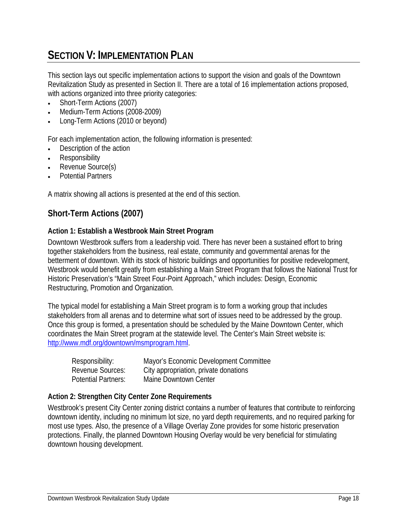## **SECTION V: IMPLEMENTATION PLAN**

This section lays out specific implementation actions to support the vision and goals of the Downtown Revitalization Study as presented in Section II. There are a total of 16 implementation actions proposed, with actions organized into three priority categories:

- Short-Term Actions (2007)
- Medium-Term Actions (2008-2009)
- Long-Term Actions (2010 or beyond)

For each implementation action, the following information is presented:

- Description of the action
- **Responsibility**
- Revenue Source(s)
- Potential Partners

A matrix showing all actions is presented at the end of this section.

#### **Short-Term Actions (2007)**

#### **Action 1: Establish a Westbrook Main Street Program**

Downtown Westbrook suffers from a leadership void. There has never been a sustained effort to bring together stakeholders from the business, real estate, community and governmental arenas for the betterment of downtown. With its stock of historic buildings and opportunities for positive redevelopment, Westbrook would benefit greatly from establishing a Main Street Program that follows the National Trust for Historic Preservation's "Main Street Four-Point Approach," which includes: Design, Economic Restructuring, Promotion and Organization.

The typical model for establishing a Main Street program is to form a working group that includes stakeholders from all arenas and to determine what sort of issues need to be addressed by the group. Once this group is formed, a presentation should be scheduled by the Maine Downtown Center, which coordinates the Main Street program at the statewide level. The Center's Main Street website is: http://www.mdf.org/downtown/msmprogram.html.

| Responsibility:            | Mayor's Economic Development Committee |
|----------------------------|----------------------------------------|
| Revenue Sources:           | City appropriation, private donations  |
| <b>Potential Partners:</b> | Maine Downtown Center                  |

#### **Action 2: Strengthen City Center Zone Requirements**

Westbrook's present City Center zoning district contains a number of features that contribute to reinforcing downtown identity, including no minimum lot size, no yard depth requirements, and no required parking for most use types. Also, the presence of a Village Overlay Zone provides for some historic preservation protections. Finally, the planned Downtown Housing Overlay would be very beneficial for stimulating downtown housing development.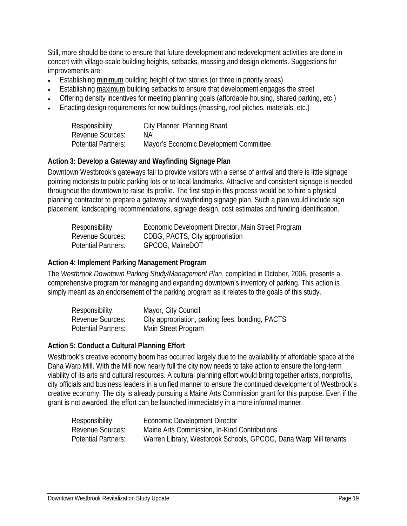Still, more should be done to ensure that future development and redevelopment activities are done in concert with village-scale building heights, setbacks, massing and design elements. Suggestions for improvements are:

- Establishing minimum building height of two stories (or three in priority areas)
- Establishing maximum building setbacks to ensure that development engages the street
- Offering density incentives for meeting planning goals (affordable housing, shared parking, etc.)
- Enacting design requirements for new buildings (massing, roof pitches, materials, etc.)

| Responsibility:            | City Planner, Planning Board           |
|----------------------------|----------------------------------------|
| <b>Revenue Sources:</b>    | NА                                     |
| <b>Potential Partners:</b> | Mayor's Economic Development Committee |

#### **Action 3: Develop a Gateway and Wayfinding Signage Plan**

Downtown Westbrook's gateways fail to provide visitors with a sense of arrival and there is little signage pointing motorists to public parking lots or to local landmarks. Attractive and consistent signage is needed throughout the downtown to raise its profile. The first step in this process would be to hire a physical planning contractor to prepare a gateway and wayfinding signage plan. Such a plan would include sign placement, landscaping recommendations, signage design, cost estimates and funding identification.

| Responsibility:            | Economic Development Director, Main Street Program |
|----------------------------|----------------------------------------------------|
| Revenue Sources:           | CDBG, PACTS, City appropriation                    |
| <b>Potential Partners:</b> | GPCOG, MaineDOT                                    |

#### **Action 4: Implement Parking Management Program**

The *Westbrook Downtown Parking Study/Management Plan*, completed in October, 2006, presents a comprehensive program for managing and expanding downtown's inventory of parking. This action is simply meant as an endorsement of the parking program as it relates to the goals of this study.

| Responsibility:            | Mayor, City Council                              |
|----------------------------|--------------------------------------------------|
| <b>Revenue Sources:</b>    | City appropriation, parking fees, bonding, PACTS |
| <b>Potential Partners:</b> | Main Street Program                              |

#### **Action 5: Conduct a Cultural Planning Effort**

Westbrook's creative economy boom has occurred largely due to the availability of affordable space at the Dana Warp Mill. With the Mill now nearly full the city now needs to take action to ensure the long-term viability of its arts and cultural resources. A cultural planning effort would bring together artists, nonprofits, city officials and business leaders in a unified manner to ensure the continued development of Westbrook's creative economy. The city is already pursuing a Maine Arts Commission grant for this purpose. Even if the grant is not awarded, the effort can be launched immediately in a more informal manner.

| Responsibility:            | Economic Development Director                                    |
|----------------------------|------------------------------------------------------------------|
| Revenue Sources:           | Maine Arts Commission, In-Kind Contributions                     |
| <b>Potential Partners:</b> | Warren Library, Westbrook Schools, GPCOG, Dana Warp Mill tenants |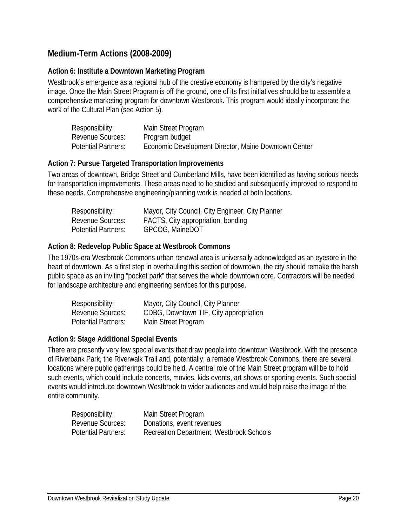#### **Medium-Term Actions (2008-2009)**

#### **Action 6: Institute a Downtown Marketing Program**

Westbrook's emergence as a regional hub of the creative economy is hampered by the city's negative image. Once the Main Street Program is off the ground, one of its first initiatives should be to assemble a comprehensive marketing program for downtown Westbrook. This program would ideally incorporate the work of the Cultural Plan (see Action 5).

| Responsibility:            | Main Street Program                                  |
|----------------------------|------------------------------------------------------|
| <b>Revenue Sources:</b>    | Program budget                                       |
| <b>Potential Partners:</b> | Economic Development Director, Maine Downtown Center |

#### **Action 7: Pursue Targeted Transportation Improvements**

Two areas of downtown, Bridge Street and Cumberland Mills, have been identified as having serious needs for transportation improvements. These areas need to be studied and subsequently improved to respond to these needs. Comprehensive engineering/planning work is needed at both locations.

| Responsibility:            | Mayor, City Council, City Engineer, City Planner |
|----------------------------|--------------------------------------------------|
| Revenue Sources:           | PACTS, City appropriation, bonding               |
| <b>Potential Partners:</b> | GPCOG, MaineDOT                                  |

#### **Action 8: Redevelop Public Space at Westbrook Commons**

The 1970s-era Westbrook Commons urban renewal area is universally acknowledged as an eyesore in the heart of downtown. As a first step in overhauling this section of downtown, the city should remake the harsh public space as an inviting "pocket park" that serves the whole downtown core. Contractors will be needed for landscape architecture and engineering services for this purpose.

| Responsibility:            | Mayor, City Council, City Planner      |
|----------------------------|----------------------------------------|
| <b>Revenue Sources:</b>    | CDBG, Downtown TIF, City appropriation |
| <b>Potential Partners:</b> | Main Street Program                    |

#### **Action 9: Stage Additional Special Events**

There are presently very few special events that draw people into downtown Westbrook. With the presence of Riverbank Park, the Riverwalk Trail and, potentially, a remade Westbrook Commons, there are several locations where public gatherings could be held. A central role of the Main Street program will be to hold such events, which could include concerts, movies, kids events, art shows or sporting events. Such special events would introduce downtown Westbrook to wider audiences and would help raise the image of the entire community.

| Responsibility:            | Main Street Program                      |
|----------------------------|------------------------------------------|
| <b>Revenue Sources:</b>    | Donations, event revenues                |
| <b>Potential Partners:</b> | Recreation Department, Westbrook Schools |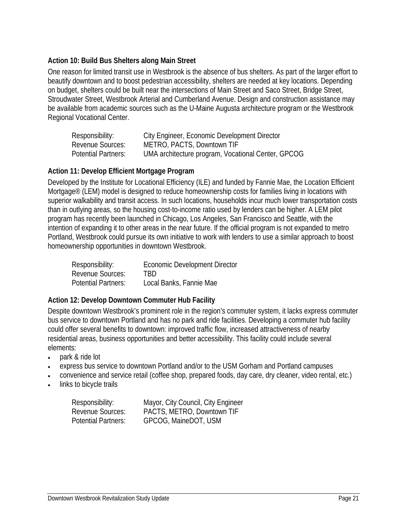#### **Action 10: Build Bus Shelters along Main Street**

One reason for limited transit use in Westbrook is the absence of bus shelters. As part of the larger effort to beautify downtown and to boost pedestrian accessibility, shelters are needed at key locations. Depending on budget, shelters could be built near the intersections of Main Street and Saco Street, Bridge Street, Stroudwater Street, Westbrook Arterial and Cumberland Avenue. Design and construction assistance may be available from academic sources such as the U-Maine Augusta architecture program or the Westbrook Regional Vocational Center.

| Responsibility:            | City Engineer, Economic Development Director       |
|----------------------------|----------------------------------------------------|
| <b>Revenue Sources:</b>    | METRO, PACTS, Downtown TIF                         |
| <b>Potential Partners:</b> | UMA architecture program, Vocational Center, GPCOG |

#### **Action 11: Develop Efficient Mortgage Program**

Developed by the Institute for Locational Efficiency (ILE) and funded by Fannie Mae, the Location Efficient Mortgage® (LEM) model is designed to reduce homeownership costs for families living in locations with superior walkability and transit access. In such locations, households incur much lower transportation costs than in outlying areas, so the housing cost-to-income ratio used by lenders can be higher. A LEM pilot program has recently been launched in Chicago, Los Angeles, San Francisco and Seattle, with the intention of expanding it to other areas in the near future. If the official program is not expanded to metro Portland, Westbrook could pursue its own initiative to work with lenders to use a similar approach to boost homeownership opportunities in downtown Westbrook.

| Responsibility:            | Economic Development Director |
|----------------------------|-------------------------------|
| Revenue Sources:           | TRD                           |
| <b>Potential Partners:</b> | Local Banks, Fannie Mae       |

#### **Action 12: Develop Downtown Commuter Hub Facility**

Despite downtown Westbrook's prominent role in the region's commuter system, it lacks express commuter bus service to downtown Portland and has no park and ride facilities. Developing a commuter hub facility could offer several benefits to downtown: improved traffic flow, increased attractiveness of nearby residential areas, business opportunities and better accessibility. This facility could include several elements:

- park & ride lot
- express bus service to downtown Portland and/or to the USM Gorham and Portland campuses
- convenience and service retail (coffee shop, prepared foods, day care, dry cleaner, video rental, etc.)
- links to bicycle trails

| Responsibility:            | Mayor, City Council, City Engineer |
|----------------------------|------------------------------------|
| <b>Revenue Sources:</b>    | PACTS, METRO, Downtown TIF         |
| <b>Potential Partners:</b> | GPCOG, MaineDOT, USM               |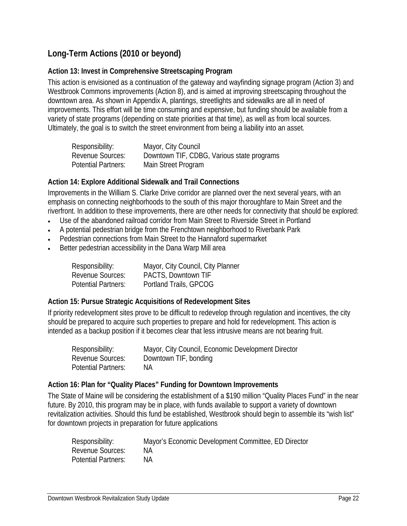#### **Long-Term Actions (2010 or beyond)**

#### **Action 13: Invest in Comprehensive Streetscaping Program**

This action is envisioned as a continuation of the gateway and wayfinding signage program (Action 3) and Westbrook Commons improvements (Action 8), and is aimed at improving streetscaping throughout the downtown area. As shown in Appendix A, plantings, streetlights and sidewalks are all in need of improvements. This effort will be time consuming and expensive, but funding should be available from a variety of state programs (depending on state priorities at that time), as well as from local sources. Ultimately, the goal is to switch the street environment from being a liability into an asset.

| Responsibility:            | Mayor, City Council                        |
|----------------------------|--------------------------------------------|
| <b>Revenue Sources:</b>    | Downtown TIF, CDBG, Various state programs |
| <b>Potential Partners:</b> | Main Street Program                        |

#### **Action 14: Explore Additional Sidewalk and Trail Connections**

Improvements in the William S. Clarke Drive corridor are planned over the next several years, with an emphasis on connecting neighborhoods to the south of this major thoroughfare to Main Street and the riverfront. In addition to these improvements, there are other needs for connectivity that should be explored:

- Use of the abandoned railroad corridor from Main Street to Riverside Street in Portland
- A potential pedestrian bridge from the Frenchtown neighborhood to Riverbank Park
- Pedestrian connections from Main Street to the Hannaford supermarket
- Better pedestrian accessibility in the Dana Warp Mill area

| Responsibility:            | Mayor, City Council, City Planner |
|----------------------------|-----------------------------------|
| <b>Revenue Sources:</b>    | PACTS, Downtown TIF               |
| <b>Potential Partners:</b> | Portland Trails, GPCOG            |

#### **Action 15: Pursue Strategic Acquisitions of Redevelopment Sites**

If priority redevelopment sites prove to be difficult to redevelop through regulation and incentives, the city should be prepared to acquire such properties to prepare and hold for redevelopment. This action is intended as a backup position if it becomes clear that less intrusive means are not bearing fruit.

| Responsibility:            | Mayor, City Council, Economic Development Director |
|----------------------------|----------------------------------------------------|
| Revenue Sources:           | Downtown TIF, bonding                              |
| <b>Potential Partners:</b> | NA.                                                |

#### **Action 16: Plan for "Quality Places" Funding for Downtown Improvements**

The State of Maine will be considering the establishment of a \$190 million "Quality Places Fund" in the near future. By 2010, this program may be in place, with funds available to support a variety of downtown revitalization activities. Should this fund be established, Westbrook should begin to assemble its "wish list" for downtown projects in preparation for future applications

| Responsibility:            | Mayor's Economic Development Committee, ED Director |
|----------------------------|-----------------------------------------------------|
| <b>Revenue Sources:</b>    | NА                                                  |
| <b>Potential Partners:</b> | NΑ                                                  |